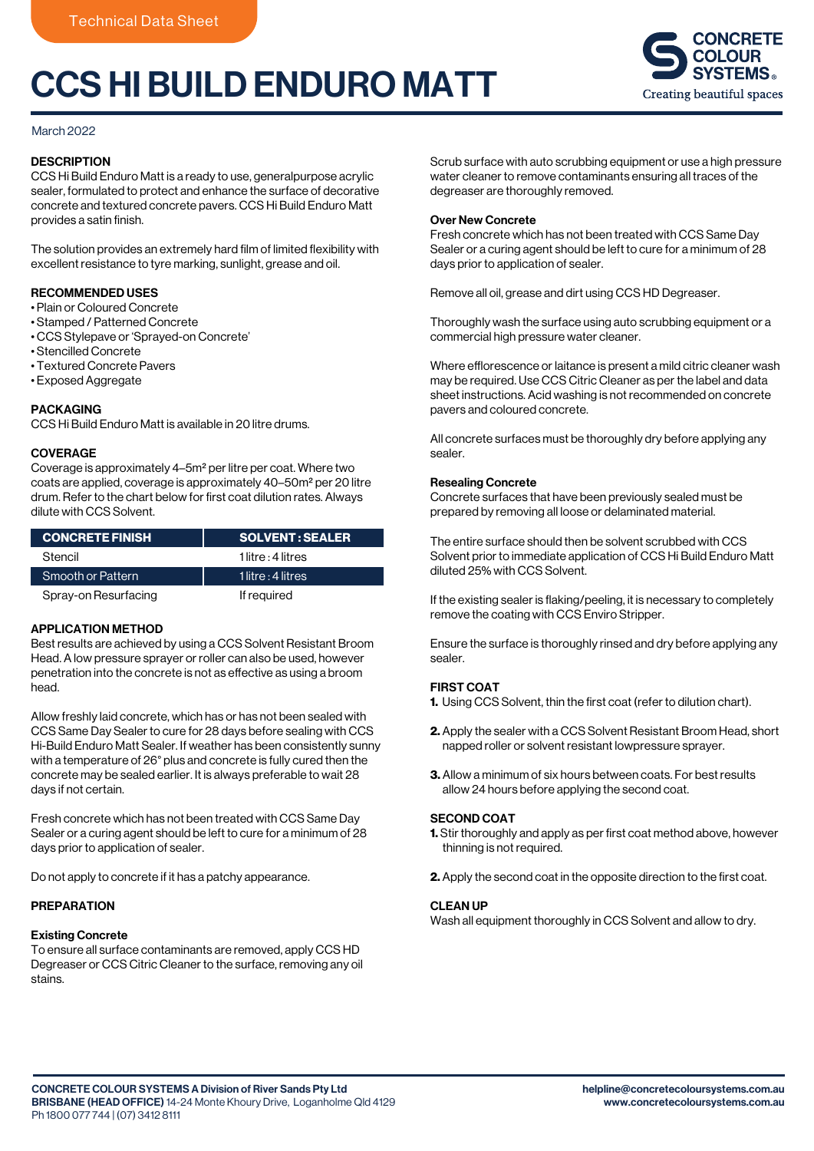# CCS HI BUILD ENDURO MATT



## March 2022

## **DESCRIPTION**

CCS Hi Build Enduro Matt is a ready to use, generalpurpose acrylic sealer, formulated to protect and enhance the surface of decorative concrete and textured concrete pavers. CCS Hi Build Enduro Matt provides a satin finish.

The solution provides an extremely hard film of limited flexibility with excellent resistance to tyre marking, sunlight, grease and oil.

## RECOMMENDED USES

- Plain or Coloured Concrete
- Stamped / Patterned Concrete
- CCS Stylepave or 'Sprayed-on Concrete'
- Stencilled Concrete
- Textured Concrete Pavers
- Exposed Aggregate

## PACKAGING

CCS Hi Build Enduro Matt is available in 20 litre drums.

## **COVERAGE**

Coverage is approximately 4–5m2 per litre per coat. Where two coats are applied, coverage is approximately 40–50m2 per 20 litre drum. Refer to the chart below for first coat dilution rates. Always dilute with CCS Solvent.

| <b>CONCRETE FINISH</b> | <b>SOLVENT: SEALER</b> |
|------------------------|------------------------|
| Stencil                | $1$ litre : 4 litres   |
| Smooth or Pattern      | 1 litre : $4$ litres   |
| Spray-on Resurfacing   | If required            |

## APPLICATION METHOD

Best results are achieved by using a CCS Solvent Resistant Broom Head. A low pressure sprayer or roller can also be used, however penetration into the concrete is not as effective as using a broom head.

Allow freshly laid concrete, which has or has not been sealed with CCS Same Day Sealer to cure for 28 days before sealing with CCS Hi-Build Enduro Matt Sealer. If weather has been consistently sunny with a temperature of 26° plus and concrete is fully cured then the concrete may be sealed earlier. It is always preferable to wait 28 days if not certain.

Fresh concrete which has not been treated with CCS Same Day Sealer or a curing agent should be left to cure for a minimum of 28 days prior to application of sealer.

Do not apply to concrete if it has a patchy appearance.

## PREPARATION

## Existing Concrete

To ensure all surface contaminants are removed, apply CCS HD Degreaser or CCS Citric Cleaner to the surface, removing any oil stains.

Scrub surface with auto scrubbing equipment or use a high pressure water cleaner to remove contaminants ensuring all traces of the degreaser are thoroughly removed.

## Over New Concrete

Fresh concrete which has not been treated with CCS Same Day Sealer or a curing agent should be left to cure for a minimum of 28 days prior to application of sealer.

Remove all oil, grease and dirt using CCS HD Degreaser.

Thoroughly wash the surface using auto scrubbing equipment or a commercial high pressure water cleaner.

Where efflorescence or laitance is present a mild citric cleaner wash may be required. Use CCS Citric Cleaner as per the label and data sheet instructions. Acid washing is not recommended on concrete pavers and coloured concrete.

All concrete surfaces must be thoroughly dry before applying any sealer.

#### Resealing Concrete

Concrete surfaces that have been previously sealed must be prepared by removing all loose or delaminated material.

The entire surface should then be solvent scrubbed with CCS Solvent prior to immediate application of CCS Hi Build Enduro Matt diluted 25% with CCS Solvent.

If the existing sealer is flaking/peeling, it is necessary to completely remove the coating with CCS Enviro Stripper.

Ensure the surface is thoroughly rinsed and dry before applying any sealer.

## FIRST COAT

- 1. Using CCS Solvent, thin the first coat (refer to dilution chart).
- 2. Apply the sealer with a CCS Solvent Resistant Broom Head, short napped roller or solvent resistant lowpressure sprayer.
- 3. Allow a minimum of six hours between coats. For best results allow 24 hours before applying the second coat.

#### SECOND COAT

- **1.** Stir thoroughly and apply as per first coat method above, however thinning is not required.
- 2. Apply the second coat in the opposite direction to the first coat.

## CLEAN UP

Wash all equipment thoroughly in CCS Solvent and allow to dry.